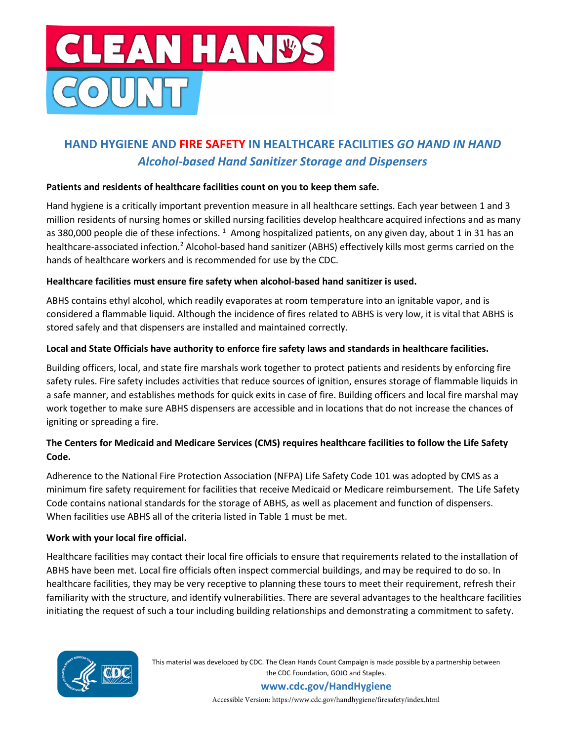

# HAND HYGIENE AND FIRE SAFETY IN HEALTHCARE FACILITIES GO HAND IN HAND Alcohol-based Hand Sanitizer Storage and Dispensers

# Patients and residents of healthcare facilities count on you to keep them safe.

Hand hygiene is a critically important prevention measure in all healthcare settings. Each year between 1 and 3 million residents of nursing homes or skilled nursing facilities develop healthcare acquired infections and as many as 380,000 people die of these infections.  $^1$  Among hospitalized patients, on any given day, about 1 in 31 has an healthcare-associated infection.<sup>2</sup> Alcohol-based hand sanitizer (ABHS) effectively kills most germs carried on the hands of healthcare workers and is recommended for use by the CDC.

### Healthcare facilities must ensure fire safety when alcohol-based hand sanitizer is used.

ABHS contains ethyl alcohol, which readily evaporates at room temperature into an ignitable vapor, and is considered a flammable liquid. Although the incidence of fires related to ABHS is very low, it is vital that ABHS is stored safely and that dispensers are installed and maintained correctly.

### Local and State Officials have authority to enforce fire safety laws and standards in healthcare facilities.

Building officers, local, and state fire marshals work together to protect patients and residents by enforcing fire safety rules. Fire safety includes activities that reduce sources of ignition, ensures storage of flammable liquids in a safe manner, and establishes methods for quick exits in case of fire. Building officers and local fire marshal may work together to make sure ABHS dispensers are accessible and in locations that do not increase the chances of igniting or spreading a fire.

# The Centers for Medicaid and Medicare Services (CMS) requires healthcare facilities to follow the Life Safety Code.

Adherence to the National Fire Protection Association (NFPA) Life Safety Code 101 was adopted by CMS as a minimum fire safety requirement for facilities that receive Medicaid or Medicare reimbursement. The Life Safety Code contains national standards for the storage of ABHS, as well as placement and function of dispensers. When facilities use ABHS all of the criteria listed in Table 1 must be met.

# Work with your local fire official.

Healthcare facilities may contact their local fire officials to ensure that requirements related to the installation of ABHS have been met. Local fire officials often inspect commercial buildings, and may be required to do so. In healthcare facilities, they may be very receptive to planning these tours to meet their requirement, refresh their familiarity with the structure, and identify vulnerabilities. There are several advantages to the healthcare facilities initiating the request of such a tour including building relationships and demonstrating a commitment to safety.



This material was developed by CDC. The Clean Hands Count Campaign is made possible by a partnership between the CDC Foundation, GOJO and Staples.

> www.cdc.gov/HandHygiene Accessible Version: https://www.cdc.gov/handhygiene/firesafety/index.html